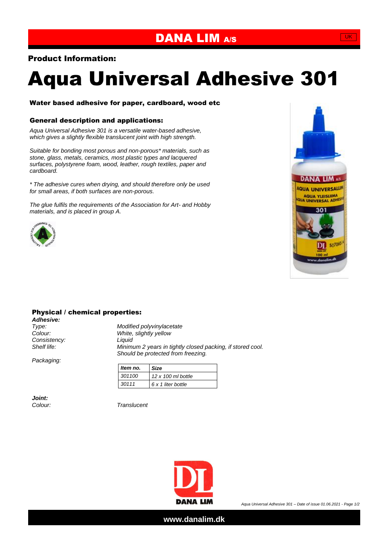## DANA LIM A/S

### Product Information:

# Aqua Universal Adhesive 301

#### Water based adhesive for paper, cardboard, wood etc

#### General description and applications:

*Aqua Universal Adhesive 301 is a versatile water-based adhesive, which gives a slightly flexible translucent joint with high strength.*

*Suitable for bonding most porous and non-porous\* materials, such as stone, glass, metals, ceramics, most plastic types and lacquered surfaces, polystyrene foam, wood, leather, rough textiles, paper and cardboard.*

*\* The adhesive cures when drying, and should therefore only be used for small areas, if both surfaces are non-porous.*

*The glue fulfils the requirements of the Association for Art- and Hobby materials, and is placed in group A.*





#### Physical / chemical properties:

*Adhesive: Consistency: Liquid*

*Type: Modified polyvinylacetate Colour: White, slightly yellow Shelf life: Minimum 2 years in tightly closed packing, if stored cool. Should be protected from freezing.*

*Packaging:*

| Item no. | <b>Size</b>               |
|----------|---------------------------|
| 301100   | $12 \times 100$ ml bottle |
| 30111    | 6 x 1 liter bottle        |

*Joint:*

*Colour: Translucent*



**www.danalim.dk**